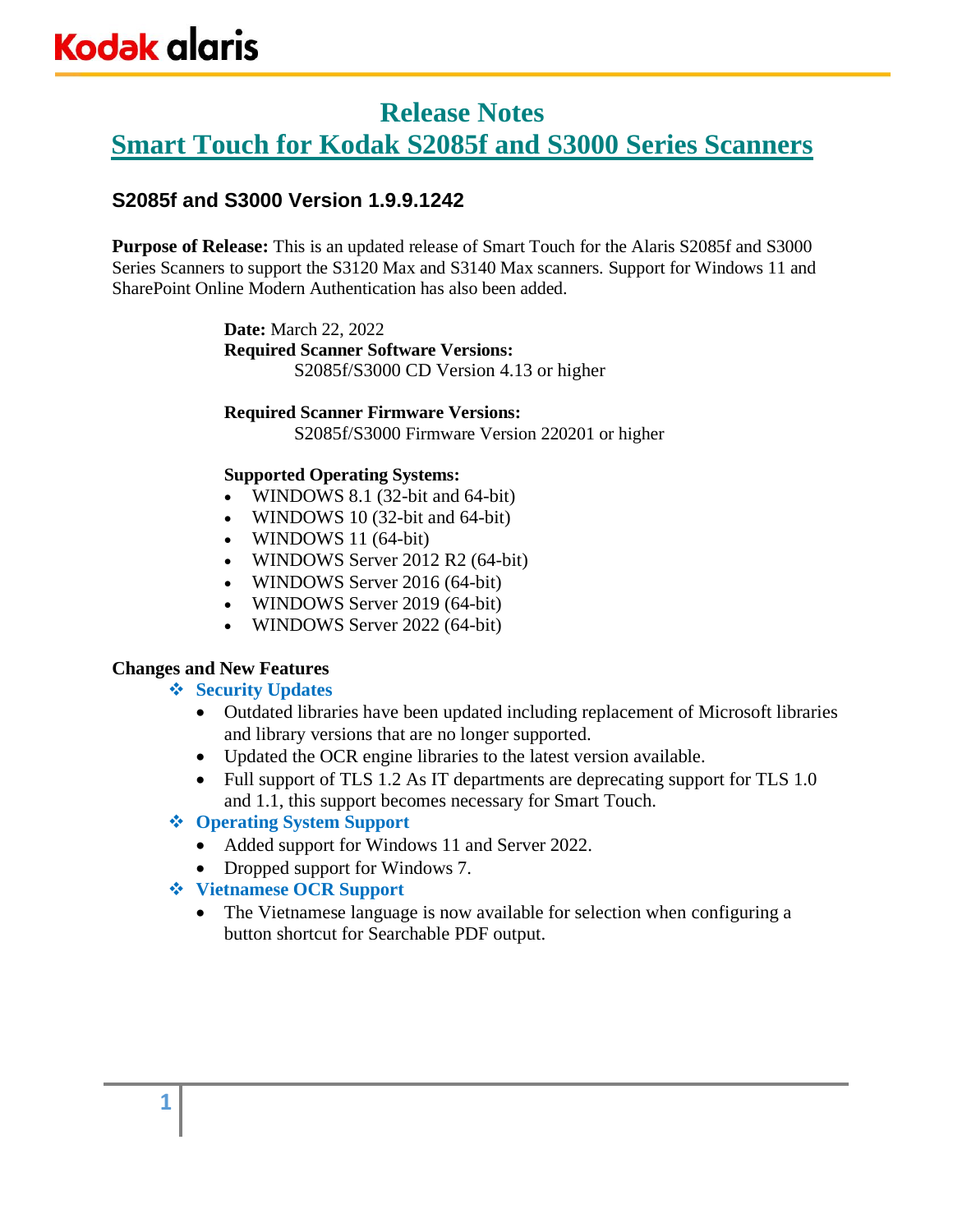### **Release Notes**

**Smart Touch for Kodak S2085f and S3000 Series Scanners**

### **S2085f and S3000 Version 1.9.9.1242**

**Purpose of Release:** This is an updated release of Smart Touch for the Alaris S2085f and S3000 Series Scanners to support the S3120 Max and S3140 Max scanners. Support for Windows 11 and SharePoint Online Modern Authentication has also been added.

> **Date:** March 22, 2022 **Required Scanner Software Versions:** S2085f/S3000 CD Version 4.13 or higher

#### **Required Scanner Firmware Versions:**

S2085f/S3000 Firmware Version 220201 or higher

#### **Supported Operating Systems:**

- WINDOWS 8.1 (32-bit and 64-bit)
- WINDOWS 10 (32-bit and 64-bit)
- WINDOWS 11 (64-bit)
- WINDOWS Server 2012 R2 (64-bit)
- WINDOWS Server 2016 (64-bit)
- WINDOWS Server 2019 (64-bit)
- WINDOWS Server 2022 (64-bit)

### **Changes and New Features**

### ❖ **Security Updates**

- Outdated libraries have been updated including replacement of Microsoft libraries and library versions that are no longer supported.
- Updated the OCR engine libraries to the latest version available.
- Full support of TLS 1.2 As IT departments are deprecating support for TLS 1.0 and 1.1, this support becomes necessary for Smart Touch.

### ❖ **Operating System Support**

- Added support for Windows 11 and Server 2022.
- Dropped support for Windows 7.
- ❖ **Vietnamese OCR Support**
	- The Vietnamese language is now available for selection when configuring a button shortcut for Searchable PDF output.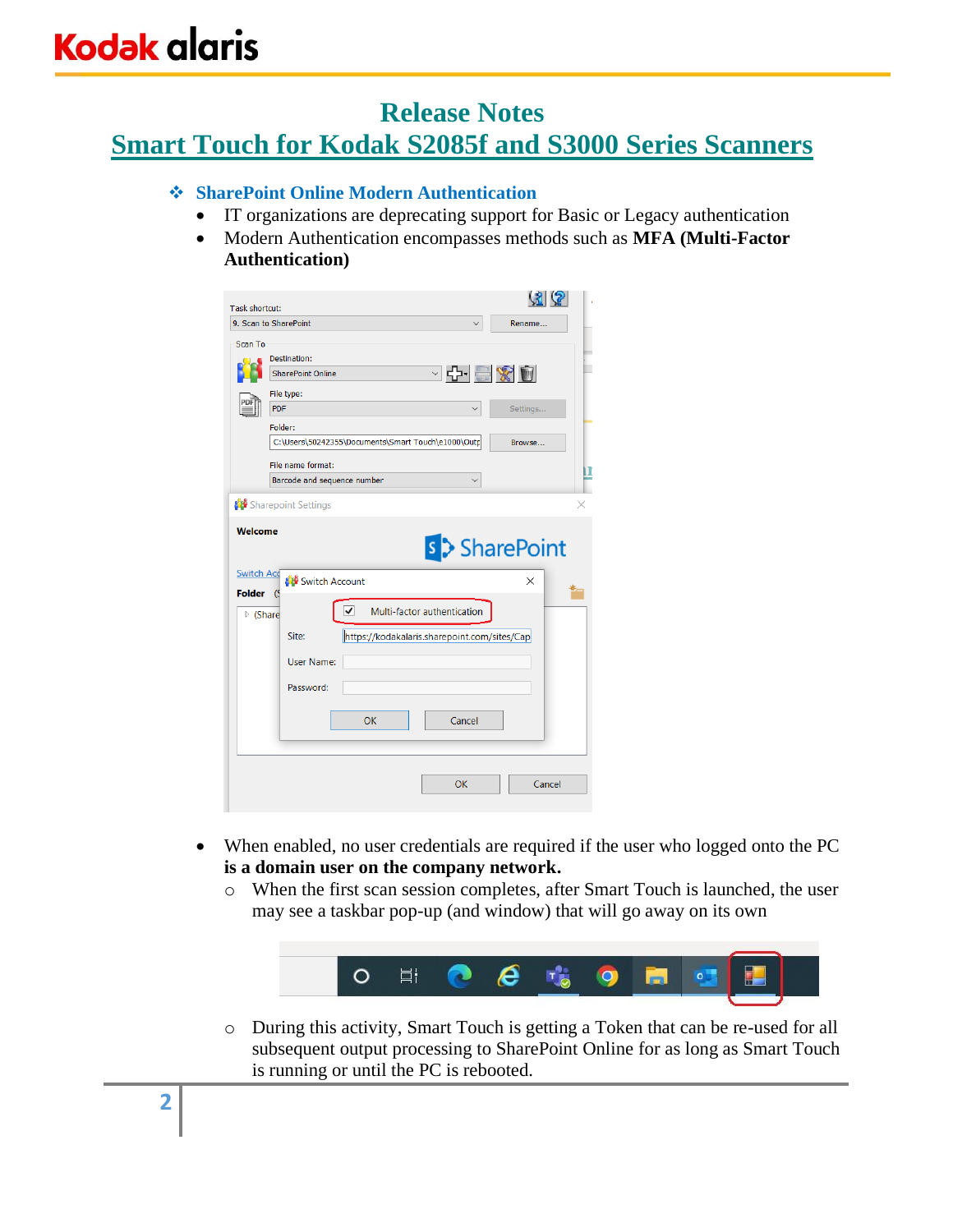# **Kodak alaris**

### **Release Notes**

### **Smart Touch for Kodak S2085f and S3000 Series Scanners**

#### ❖ **SharePoint Online Modern Authentication**

- IT organizations are deprecating support for Basic or Legacy authentication
- Modern Authentication encompasses methods such as **MFA (Multi-Factor Authentication)**

| Task shortcut:                           |                                                                                                                                                            | (31)                                |
|------------------------------------------|------------------------------------------------------------------------------------------------------------------------------------------------------------|-------------------------------------|
|                                          | 9. Scan to SharePoint<br>$\checkmark$                                                                                                                      | Rename                              |
| Scan To                                  | Destination:<br><b>SharePoint Online</b><br>File type:<br><b>PDF</b><br>Folder:<br>C:\Users\50242355\Documents\Smart Touch\e1000\Outp<br>File name format: | ○라 르 ※ 한<br>Settings<br>Browse<br>Ш |
|                                          | Barcode and sequence number                                                                                                                                |                                     |
| <b>Switch Acd</b>                        | Switch Account                                                                                                                                             | s > SharePoint<br>$\times$          |
| <b>Folder</b><br>$\triangleright$ (Share | (S<br>⊽<br>Multi-factor authentication<br>Site:<br>https://kodakalaris.sharepoint.com/sites/Cap<br><b>User Name:</b><br>Password:<br>OK<br>Cancel          |                                     |
|                                          | OK                                                                                                                                                         | Cancel                              |

- When enabled, no user credentials are required if the user who logged onto the PC **is a domain user on the company network.**
	- o When the first scan session completes, after Smart Touch is launched, the user may see a taskbar pop-up (and window) that will go away on its own



o During this activity, Smart Touch is getting a Token that can be re-used for all subsequent output processing to SharePoint Online for as long as Smart Touch is running or until the PC is rebooted.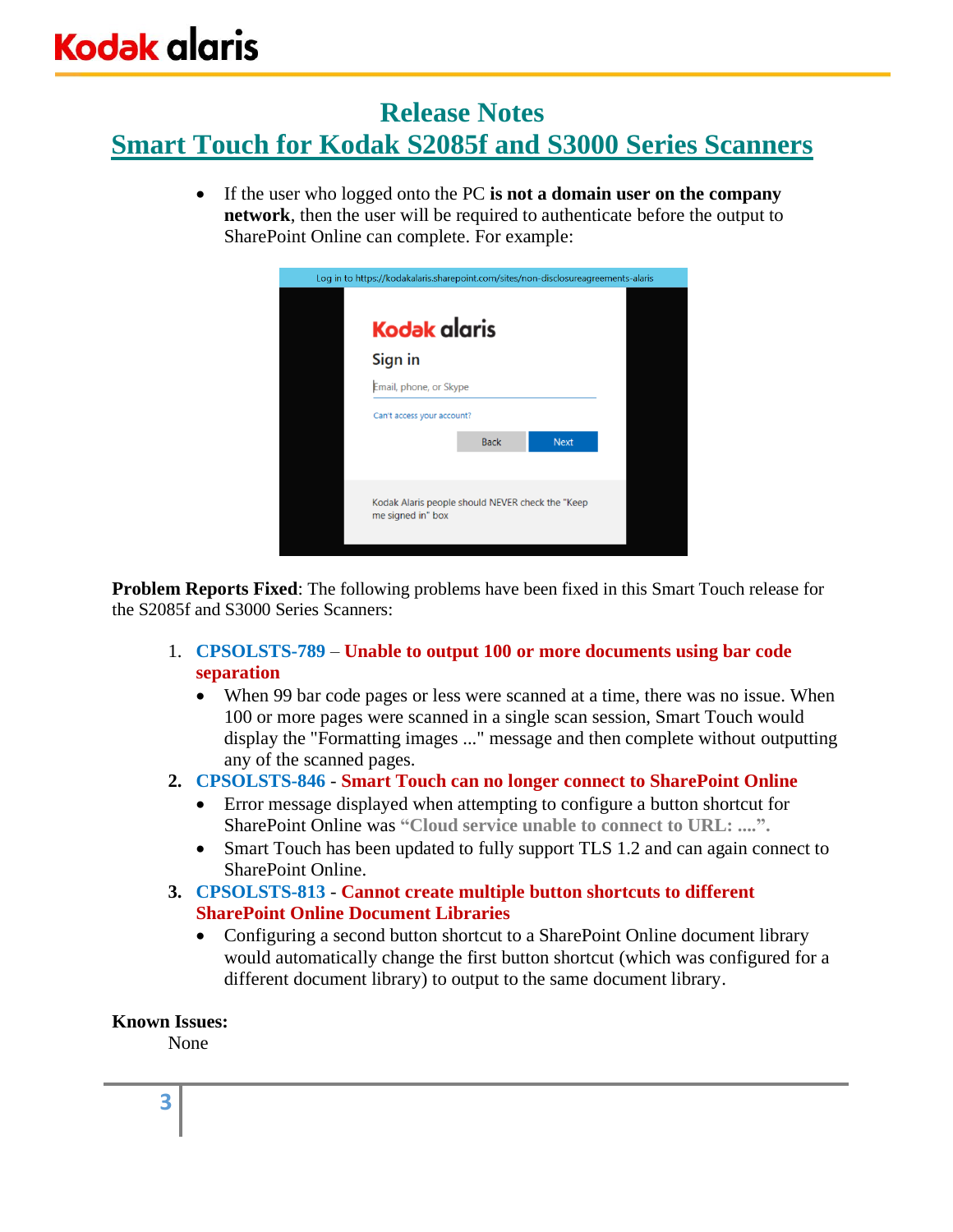### **Release Notes**

# **Smart Touch for Kodak S2085f and S3000 Series Scanners**

• If the user who logged onto the PC **is not a domain user on the company network**, then the user will be required to authenticate before the output to SharePoint Online can complete. For example:

| Log in to https://kodakalaris.sharepoint.com/sites/non-disclosureagreements-alaris |                        |             |  |  |
|------------------------------------------------------------------------------------|------------------------|-------------|--|--|
| <b>Kodak alaris</b>                                                                |                        |             |  |  |
| Sign in                                                                            |                        |             |  |  |
|                                                                                    | Email, phone, or Skype |             |  |  |
| Can't access your account?                                                         |                        |             |  |  |
|                                                                                    | <b>Back</b>            | <b>Next</b> |  |  |
|                                                                                    |                        |             |  |  |
| Kodak Alaris people should NEVER check the "Keep"<br>me signed in" box             |                        |             |  |  |

**Problem Reports Fixed**: The following problems have been fixed in this Smart Touch release for the S2085f and S3000 Series Scanners:

- 1. **CPSOLSTS-789 Unable to output 100 or more documents using bar code separation**
	- When 99 bar code pages or less were scanned at a time, there was no issue. When 100 or more pages were scanned in a single scan session, Smart Touch would display the "Formatting images ..." message and then complete without outputting any of the scanned pages.
- **2. CPSOLSTS-846 Smart Touch can no longer connect to SharePoint Online**
	- Error message displayed when attempting to configure a button shortcut for SharePoint Online was **"Cloud service unable to connect to URL: ....".**
	- Smart Touch has been updated to fully support TLS 1.2 and can again connect to SharePoint Online.
- **3. CPSOLSTS-813 Cannot create multiple button shortcuts to different SharePoint Online Document Libraries**
	- Configuring a second button shortcut to a SharePoint Online document library would automatically change the first button shortcut (which was configured for a different document library) to output to the same document library.

### **Known Issues:**

None